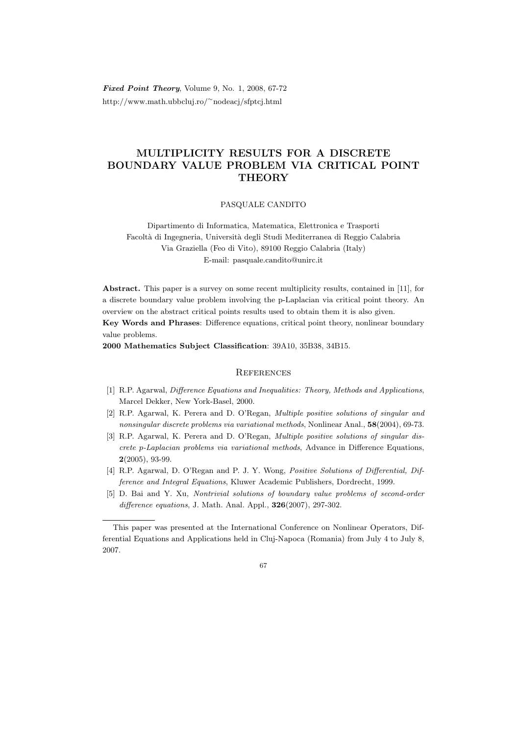Fixed Point Theory, Volume 9, No. 1, 2008, 67-72 http://www.math.ubbcluj.ro/<sup>∼</sup>nodeacj/sfptcj.html

## MULTIPLICITY RESULTS FOR A DISCRETE BOUNDARY VALUE PROBLEM VIA CRITICAL POINT **THEORY**

## PASQUALE CANDITO

Dipartimento di Informatica, Matematica, Elettronica e Trasporti Facolt`a di Ingegneria, Universit`a degli Studi Mediterranea di Reggio Calabria Via Graziella (Feo di Vito), 89100 Reggio Calabria (Italy) E-mail: pasquale.candito@unirc.it

Abstract. This paper is a survey on some recent multiplicity results, contained in [11], for a discrete boundary value problem involving the p-Laplacian via critical point theory. An overview on the abstract critical points results used to obtain them it is also given. Key Words and Phrases: Difference equations, critical point theory, nonlinear boundary value problems.

2000 Mathematics Subject Classification: 39A10, 35B38, 34B15.

## **REFERENCES**

- [1] R.P. Agarwal, Difference Equations and Inequalities: Theory, Methods and Applications, Marcel Dekker, New York-Basel, 2000.
- [2] R.P. Agarwal, K. Perera and D. O'Regan, Multiple positive solutions of singular and nonsingular discrete problems via variational methods, Nonlinear Anal., 58(2004), 69-73.
- [3] R.P. Agarwal, K. Perera and D. O'Regan, Multiple positive solutions of singular discrete p-Laplacian problems via variational methods, Advance in Difference Equations,  $2(2005)$ , 93-99.
- [4] R.P. Agarwal, D. O'Regan and P. J. Y. Wong, Positive Solutions of Differential, Difference and Integral Equations, Kluwer Academic Publishers, Dordrecht, 1999.
- [5] D. Bai and Y. Xu, Nontrivial solutions of boundary value problems of second-order difference equations, J. Math. Anal. Appl., **326**(2007), 297-302.

This paper was presented at the International Conference on Nonlinear Operators, Differential Equations and Applications held in Cluj-Napoca (Romania) from July 4 to July 8, 2007.

<sup>67</sup>